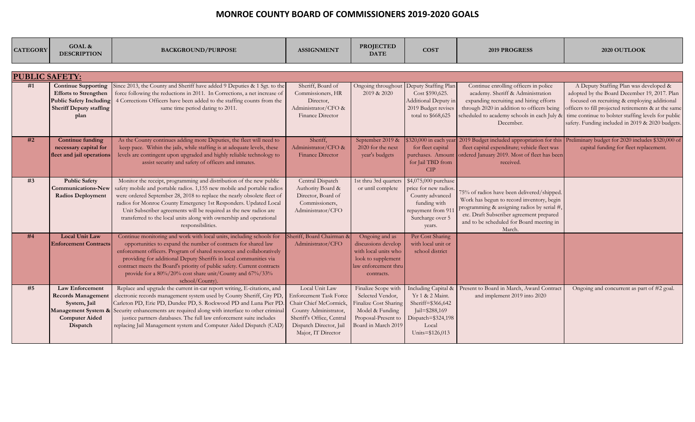| <b>CATEGORY</b>       | GOAL &<br><b>DESCRIPTION</b>                                                                                                           | <b>BACKGROUND/PURPOSE</b>                                                                                                                                                                                                                                                                                                                                                                                                                                        | <b>ASSIGNMENT</b>                                                                                                                                                                | <b>PROJECTED</b><br><b>DATE</b>                                                                                                   | <b>COST</b>                                                                                                                                   | <b>2019 PROGRESS</b>                                                                                                                                                                                                                     | 2020 OUTLOOK                                                                                                                                                                                                                                                                                              |
|-----------------------|----------------------------------------------------------------------------------------------------------------------------------------|------------------------------------------------------------------------------------------------------------------------------------------------------------------------------------------------------------------------------------------------------------------------------------------------------------------------------------------------------------------------------------------------------------------------------------------------------------------|----------------------------------------------------------------------------------------------------------------------------------------------------------------------------------|-----------------------------------------------------------------------------------------------------------------------------------|-----------------------------------------------------------------------------------------------------------------------------------------------|------------------------------------------------------------------------------------------------------------------------------------------------------------------------------------------------------------------------------------------|-----------------------------------------------------------------------------------------------------------------------------------------------------------------------------------------------------------------------------------------------------------------------------------------------------------|
| <b>PUBLIC SAFETY:</b> |                                                                                                                                        |                                                                                                                                                                                                                                                                                                                                                                                                                                                                  |                                                                                                                                                                                  |                                                                                                                                   |                                                                                                                                               |                                                                                                                                                                                                                                          |                                                                                                                                                                                                                                                                                                           |
|                       |                                                                                                                                        |                                                                                                                                                                                                                                                                                                                                                                                                                                                                  |                                                                                                                                                                                  |                                                                                                                                   |                                                                                                                                               |                                                                                                                                                                                                                                          |                                                                                                                                                                                                                                                                                                           |
| #1                    | <b>Continue Supporting</b><br><b>Efforts to Strengthen</b><br><b>Public Safety Including</b><br><b>Sheriff Deputy staffing</b><br>plan | Since 2013, the County and Sheriff have added 9 Deputies & 1 Sgt. to the<br>force following the reductions in 2011. In Corrections, a net increase of<br>4 Corrections Officers have been added to the staffing counts from the<br>same time period dating to 2011.                                                                                                                                                                                              | Sheriff, Board of<br>Commissioners, HR<br>Director,<br>Administrator/CFO &<br>Finance Director                                                                                   | Ongoing throughout<br>2019 & 2020                                                                                                 | Deputy Staffing Plan<br>Cost \$590,625.<br>Additional Deputy in<br>2019 Budget revises<br>total to \$668,625                                  | Continue enrolling officers in police<br>academy. Sheriff & Administration<br>expanding recruiting and hiring efforts<br>through 2020 in addition to officers being<br>scheduled to academy schools in each July &<br>December.          | A Deputy Staffing Plan was developed &<br>adopted by the Board December 19, 2017. Plan<br>focused on recruiting & employing additional<br>officers to fill projected retirements & at the same<br>time continue to bolster staffing levels for public<br>safety. Funding included in 2019 & 2020 budgets. |
| #2                    | <b>Continue funding</b><br>necessary capital for<br>fleet and jail operations                                                          | As the County continues adding more Deputies, the fleet will need to<br>keep pace. Within the jails, while staffing is at adequate levels, these<br>levels are contingent upon upgraded and highly reliable technology to<br>assist security and safety of officers and inmates.                                                                                                                                                                                 | Sheriff,<br>Administrator/CFO &<br><b>Finance Director</b>                                                                                                                       | September 2019 &<br>2020 for the next<br>year's budgets                                                                           | 320,000 in each year<br>for fleet capital<br>purchases. Amount<br>for Jail TBD from<br>CIP                                                    | fleet capital expenditure; vehicle fleet was<br>ordered January 2019. Most of fleet has been<br>received.                                                                                                                                | 2019 Budget included appropriation for this Preliminary budget for 2020 includes \$320,000 of<br>capital funding for fleet replacement.                                                                                                                                                                   |
| #3                    | <b>Public Safety</b><br><b>Communications-New</b><br><b>Radios Deployment</b>                                                          | Monitor the receipt, programming and distribution of the new public<br>safety mobile and portable radios. 1,155 new mobile and portable radios<br>were ordered September 28, 2018 to replace the nearly obsolete fleet of<br>radios for Monroe County Emergency 1st Responders. Updated Local<br>Unit Subscriber agreements will be required as the new radios are<br>transferred to the local units along with ownership and operational<br>responsibilities.   | Central Dispatch<br>Authority Board &<br>Director, Board of<br>Commissioners,<br>Administrator/CFO                                                                               | 1st thru 3rd quarters<br>or until complete                                                                                        | \$4,075,000 purchase<br>price for new radios<br>County advanced<br>funding with<br>repayment from 91<br>Surcharge over 5<br>years.            | 75% of radios have been delivered/shipped.<br>Work has begun to record inventory, begin<br>programming & assigning radios by serial #,<br>etc. Draft Subscriber agreement prepared<br>and to be scheduled for Board meeting in<br>March. |                                                                                                                                                                                                                                                                                                           |
| #4                    | <b>Local Unit Law</b><br><b>Enforcement Contracts</b>                                                                                  | Continue monitoring and work with local units, including schools for<br>opportunities to expand the number of contracts for shared law<br>enforcement officers. Program of shared resources and collaboratively<br>providing for additional Deputy Sheriffs in local communities via<br>contract meets the Board's priority of public safety. Current contracts<br>provide for a 80%/20% cost share unit/County and 67%/33%<br>school/County)                    | Sheriff, Board Chairman &<br>Administrator/CFO                                                                                                                                   | Ongoing and as<br>discussions develop<br>with local units who<br>look to supplement<br>aw enforcement thru<br>contracts.          | Per Cost Sharing<br>with local unit or<br>school district                                                                                     |                                                                                                                                                                                                                                          |                                                                                                                                                                                                                                                                                                           |
| #5                    | <b>Law Enforcement</b><br><b>Records Management</b><br>System, Jail<br><b>Computer Aided</b><br>Dispatch                               | Replace and upgrade the current in-car report writing, E-citations, and<br>electronic records management system used by County Sheriff, City PD<br>Carleton PD, Erie PD, Dundee PD, S. Rockwood PD and Luna Pier PD<br>Management System & Security enhancements are required along with interface to other criminal<br>justice partners databases. The full law enforcement suite includes<br>replacing Jail Management system and Computer Aided Dispatch (CAD | Local Unit Law<br><b>Enforcement Task Force</b><br>Chair Chief McCormick,<br>County Administrator,<br>Sheriff's Office, Central<br>Dispatch Director, Jail<br>Major, IT Director | Finalize Scope with<br>Selected Vendor,<br>Finalize Cost Sharing<br>Model & Funding<br>Proposal-Present to<br>Board in March 2019 | <b>Including Capital &amp;</b><br>Yr 1 & 2 Maint.<br>Sheriff=\$366,642<br>$ ail = $288,169$<br>Dispatch=\$324,198<br>Local<br>Units=\$126,013 | Present to Board in March, Award Contract<br>and implement 2019 into 2020                                                                                                                                                                | Ongoing and concurrent as part of #2 goal.                                                                                                                                                                                                                                                                |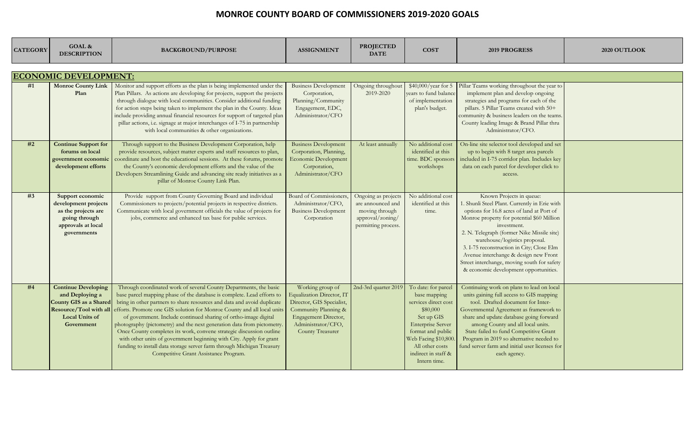| <b>CATEGORY</b> | <b>GOAL &amp;</b><br><b>DESCRIPTION</b>                                                                                                  | <b>BACKGROUND/PURPOSE</b>                                                                                                                                                                                                                                                                                                                                                                                                                                                                                                                                                                                                                                                                                       | <b>ASSIGNMENT</b>                                                                                                                                                           | <b>PROJECTED</b><br><b>DATE</b>                                                                       | <b>COST</b>                                                                                                                                                                                                             | <b>2019 PROGRESS</b>                                                                                                                                                                                                                                                                                                                                                                                                                            | 2020 OUTLOOK |
|-----------------|------------------------------------------------------------------------------------------------------------------------------------------|-----------------------------------------------------------------------------------------------------------------------------------------------------------------------------------------------------------------------------------------------------------------------------------------------------------------------------------------------------------------------------------------------------------------------------------------------------------------------------------------------------------------------------------------------------------------------------------------------------------------------------------------------------------------------------------------------------------------|-----------------------------------------------------------------------------------------------------------------------------------------------------------------------------|-------------------------------------------------------------------------------------------------------|-------------------------------------------------------------------------------------------------------------------------------------------------------------------------------------------------------------------------|-------------------------------------------------------------------------------------------------------------------------------------------------------------------------------------------------------------------------------------------------------------------------------------------------------------------------------------------------------------------------------------------------------------------------------------------------|--------------|
|                 | <b>ECONOMIC DEVELOPMENT:</b>                                                                                                             |                                                                                                                                                                                                                                                                                                                                                                                                                                                                                                                                                                                                                                                                                                                 |                                                                                                                                                                             |                                                                                                       |                                                                                                                                                                                                                         |                                                                                                                                                                                                                                                                                                                                                                                                                                                 |              |
| #1              | <b>Monroe County Link</b><br>Plan                                                                                                        | Monitor and support efforts as the plan is being implemented under the<br>Plan Pillars. As actions are developing for projects, support the projects<br>through dialogue with local communities. Consider additional funding<br>for action steps being taken to implement the plan in the County. Ideas<br>include providing annual financial resources for support of targeted plan<br>pillar actions, i.e. signage at major interchanges of I-75 in partnership<br>with local communities & other organizations.                                                                                                                                                                                              | <b>Business Development</b><br>Corporation,<br>Planning/Community<br>Engagement, EDC,<br>Administrator/CFO                                                                  | Ongoing throughout<br>2019-2020                                                                       | $$40,000/year$ for 5<br>vears to fund balance<br>of implementation<br>plan's budget.                                                                                                                                    | Pillar Teams working throughout the year to<br>implement plan and develop ongoing<br>strategies and programs for each of the<br>pillars. 5 Pillar Teams created with 50+<br>community & business leaders on the teams.<br>County leading Image & Brand Pillar thru<br>Administrator/CFO.                                                                                                                                                        |              |
| #2              | <b>Continue Support for</b><br>forums on local<br>government economic<br>development efforts                                             | Through support to the Business Development Corporation, help<br>provide resources, subject matter experts and staff resources to plan,<br>coordinate and host the educational sessions. At these forums, promote<br>the County's economic development efforts and the value of the<br>Developers Streamlining Guide and advancing site ready initiatives as a<br>pillar of Monroe County Link Plan.                                                                                                                                                                                                                                                                                                            | <b>Business Development</b><br>Corporation, Planning,<br><b>Economic Development</b><br>Corporation,<br>Administrator/CFO                                                   | At least annually                                                                                     | No additional cost<br>identified at this<br>time. BDC sponsors<br>workshops                                                                                                                                             | On-line site selector tool developed and set<br>up to begin with 8 target area parcels<br>included in I-75 corridor plan. Includes key<br>data on each parcel for developer click to<br>access.                                                                                                                                                                                                                                                 |              |
| #3              | Support economic<br>development projects<br>as the projects are<br>going through<br>approvals at local<br>governments                    | Provide support from County Governing Board and individual<br>Commissioners to projects/potential projects in respective districts.<br>Communicate with local government officials the value of projects for<br>jobs, commerce and enhanced tax base for public services.                                                                                                                                                                                                                                                                                                                                                                                                                                       | <b>Board of Commissioners,</b><br>Administrator/CFO,<br><b>Business Development</b><br>Corporation                                                                          | Ongoing as projects<br>are announced and<br>moving through<br>approval/zoning/<br>permitting process. | No additional cost<br>identified at this<br>time.                                                                                                                                                                       | Known Projects in queue:<br>. Shunli Steel Plant. Currently in Erie with<br>options for 16.8 acres of land at Port of<br>Monroe property for potential \$60 Million<br>investment.<br>2. N. Telegraph (former Nike Missile site)<br>warehouse/logistics proposal.<br>3. I-75 reconstruction in City; Close Elm<br>Avenue interchange & design new Front<br>Street interchange, moving south for safety<br>& economic development opportunities. |              |
| #4              | <b>Continue Developing</b><br>and Deploying a<br>County GIS as a Shared<br>Resource/Tool with all<br><b>Local Units of</b><br>Government | Through coordinated work of several County Departments, the basic<br>base parcel mapping phase of the database is complete. Lead efforts to<br>bring in other partners to share resources and data and avoid duplicate<br>efforts. Promote one GIS solution for Monroe County and all local units<br>of government. Include continued sharing of ortho-image digital<br>photography (pictometry) and the next generation data from pictometry.<br>Once County completes its work, convene strategic discussion outline<br>with other units of government beginning with City. Apply for grant<br>funding to install data storage server farm through Michigan Treasury<br>Competitive Grant Assistance Program. | Working group of<br><b>Equalization Director, IT</b><br>Director, GIS Specialist,<br>Community Planning &<br>Engagement Director,<br>Administrator/CFO,<br>County Treasurer | 2nd-3rd quarter 2019                                                                                  | To date: for parcel<br>base mapping<br>services direct cost<br>\$80,000<br>Set up GIS<br><b>Enterprise Server</b><br>format and public<br>Web Facing \$10,800<br>All other costs<br>indirect in staff &<br>Intern time. | Continuing work on plans to lead on local<br>units gaining full access to GIS mapping<br>tool. Drafted document for Inter-<br>Governmental Agreement as framework to<br>share and update database going forward<br>among County and all local units.<br>State failed to fund Competitive Grant<br>Program in 2019 so alternative needed to<br>fund server farm and initial user licenses for<br>each agency.                                    |              |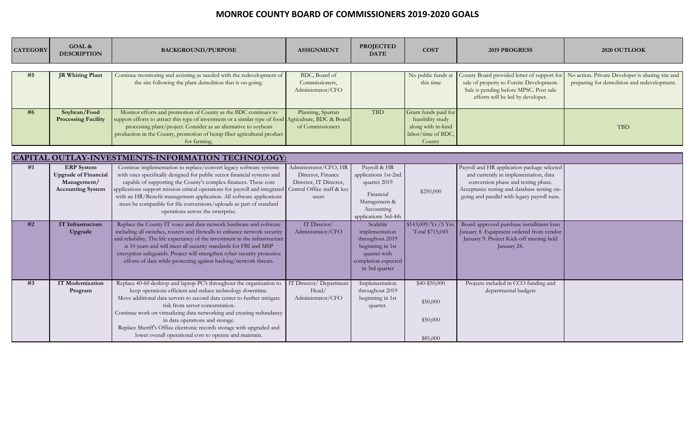| <b>CATEGORY</b> | GOAL &<br><b>DESCRIPTION</b> | <b>BACKGROUND/PURPOSE</b>                                                                                                                    | <b>ASSIGNMENT</b>                                    | <b>PROJECTED</b><br><b>DATE</b>     | <b>COST</b>                     | <b>2019 PROGRESS</b>                                                                                                                                                   | 2020 OUTLOOK                                                                                    |
|-----------------|------------------------------|----------------------------------------------------------------------------------------------------------------------------------------------|------------------------------------------------------|-------------------------------------|---------------------------------|------------------------------------------------------------------------------------------------------------------------------------------------------------------------|-------------------------------------------------------------------------------------------------|
|                 |                              |                                                                                                                                              |                                                      |                                     |                                 |                                                                                                                                                                        |                                                                                                 |
| #5              | JR Whiting Plant             | Continue monitoring and assisting as needed with the redevelopment of<br>the site following the plant demolition that is on-going.           | BDC, Board of<br>Commissioners,<br>Administrator/CFO |                                     | No public funds at<br>this time | County Board provided letter of support for<br>sale of property to Forsite Development.<br>Sale is pending before MPSC. Post sale<br>efforts will be led by developer. | No action. Private Developer is abating site and<br>preparing for demolition and redevelopment. |
| #6              | Soybean/Food                 | Monitor efforts and promotion of County as the BDC continues to                                                                              | Planning, Spartan                                    | <b>TBD</b>                          | Grant funds paid for            |                                                                                                                                                                        |                                                                                                 |
|                 | <b>Processing Facility</b>   | support efforts to attract this type of investment or a similar type of food Agriculture, BDC & Board                                        |                                                      |                                     | feasibility study               |                                                                                                                                                                        |                                                                                                 |
|                 |                              | processing plant/project. Consider as an alternative to soybean                                                                              | of Commissioners                                     |                                     | along with in-kind              |                                                                                                                                                                        | <b>TBD</b>                                                                                      |
|                 |                              | production in the County, promotion of hemp fiber agricultural product                                                                       |                                                      |                                     | labor/time of BDC,              |                                                                                                                                                                        |                                                                                                 |
|                 |                              | for farming.                                                                                                                                 |                                                      |                                     | County                          |                                                                                                                                                                        |                                                                                                 |
|                 |                              | CAPITAL OUTLAY-INVESTMENTS-INFORMATION TECHNOLOGY:                                                                                           |                                                      |                                     |                                 |                                                                                                                                                                        |                                                                                                 |
| #1              | <b>ERP</b> System            | Continue implementation to replace/convert legacy software systems                                                                           | Administrator/CFO, HR                                | Payroll & HR                        |                                 | Payroll and HR application package selected                                                                                                                            |                                                                                                 |
|                 | <b>Upgrade of Financial</b>  | with ones specifically designed for public sector financial systems and                                                                      | Director, Finance                                    | applications 1st-2nd                |                                 | and currently in implementation, data                                                                                                                                  |                                                                                                 |
|                 | Management/                  | capable of supporting the County's complex finances. These core                                                                              | Director, IT Director,                               | quarter 2019                        |                                 | conversion phase and testing phase.                                                                                                                                    |                                                                                                 |
|                 | <b>Accounting System</b>     | applications support mission critical operations for payroll and integrated                                                                  | Central Office staff & key                           | Financial                           | \$250,000                       | Acceptance testing and database testing on-                                                                                                                            |                                                                                                 |
|                 |                              | with an HR/Benefit management application. All software applications                                                                         | users                                                | Management &                        |                                 | going and parallel with legacy payroll runs.                                                                                                                           |                                                                                                 |
|                 |                              | must be compatible for file conversions/uploads as part of standard<br>operations across the enterprise.                                     |                                                      | Accounting                          |                                 |                                                                                                                                                                        |                                                                                                 |
|                 |                              |                                                                                                                                              |                                                      | applications 3rd-4th                |                                 |                                                                                                                                                                        |                                                                                                 |
| #2              | <b>IT Infrastructure</b>     | Replace the County IT voice and data network hardware and software                                                                           | IT Director/                                         | Scalable                            | \$143,009/Yr./5Yrs              | Board approved purchase installment loan                                                                                                                               |                                                                                                 |
|                 | Upgrade                      | including all switches, routers and firewalls to enhance network security                                                                    | Administrator/CFO                                    | implementation                      | Total \$715,045                 | January 8. Equipment ordered from vendor                                                                                                                               |                                                                                                 |
|                 |                              | and reliability. The life expectancy of the investment in the infrastructure                                                                 |                                                      | throughout 2019                     |                                 | January 9. Project Kick-off meeting held                                                                                                                               |                                                                                                 |
|                 |                              | is 10 years and will meet all security standards for FBI and MSP<br>encryption safeguards. Project will strengthen cyber security protective |                                                      | beginning in 1st                    |                                 | January 24.                                                                                                                                                            |                                                                                                 |
|                 |                              | efforts of data while protecting against hacking/network threats.                                                                            |                                                      | quarter with<br>completion expected |                                 |                                                                                                                                                                        |                                                                                                 |
|                 |                              |                                                                                                                                              |                                                      | in 3rd quarter                      |                                 |                                                                                                                                                                        |                                                                                                 |
|                 |                              |                                                                                                                                              |                                                      |                                     |                                 |                                                                                                                                                                        |                                                                                                 |
| #3              | <b>IT Modernization</b>      | Replace 40-60 desktop and laptop PC's throughout the organization to                                                                         | IT Director/ Department                              | Implementation                      | \$40-\$50,000                   | Projects included in CCO funding and                                                                                                                                   |                                                                                                 |
|                 | Program                      | keep operations efficient and reduce technology downtime.                                                                                    | Head/                                                | throughout 2019                     |                                 | departmental budgets                                                                                                                                                   |                                                                                                 |
|                 |                              | Move additional data servers to second data center to further mitigate                                                                       | Administrator/CFO                                    | beginning in 1st                    | \$50,000                        |                                                                                                                                                                        |                                                                                                 |
|                 |                              | risk from server concentration.<br>Continue work on virtualizing data networking and creating redundancy                                     |                                                      | quarter.                            |                                 |                                                                                                                                                                        |                                                                                                 |
|                 |                              | in data operations and storage.                                                                                                              |                                                      |                                     | \$50,000                        |                                                                                                                                                                        |                                                                                                 |
|                 |                              | Replace Sheriff's Office electronic records storage with upgraded and                                                                        |                                                      |                                     |                                 |                                                                                                                                                                        |                                                                                                 |
|                 |                              | lower overall operational cost to operate and maintain.                                                                                      |                                                      |                                     | \$85,000                        |                                                                                                                                                                        |                                                                                                 |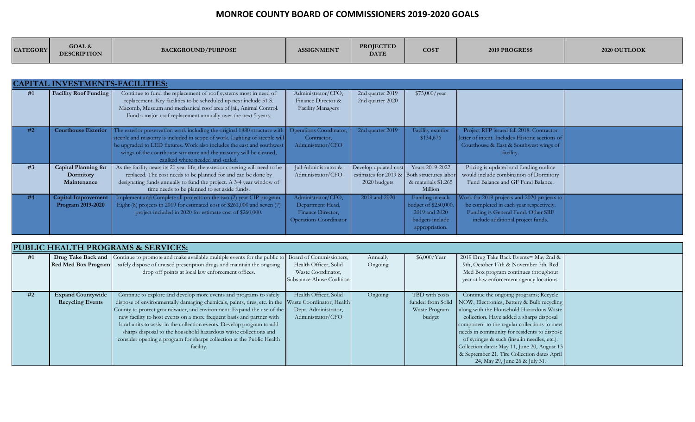| <b>CATEGORY</b> | GOAL &<br><b>DESCRIPTION</b> | <b>BACKGROUND/PURPOSE</b> | ASSIGNMENT | <b>PROIECTED</b><br><b>DATE</b> | <b>COST</b> | <b>2019 PROGRESS</b> | 2020 OUTLOOK |
|-----------------|------------------------------|---------------------------|------------|---------------------------------|-------------|----------------------|--------------|
|                 |                              |                           |            |                                 |             |                      |              |

|    | <b>CAPITAL INVESTMENTS-FACILITIES:</b>                  |                                                                                                                                                                                                                                                                                                                                             |                                                                                              |                                                                                    |                                                                                               |                                                                                                                                                                   |  |
|----|---------------------------------------------------------|---------------------------------------------------------------------------------------------------------------------------------------------------------------------------------------------------------------------------------------------------------------------------------------------------------------------------------------------|----------------------------------------------------------------------------------------------|------------------------------------------------------------------------------------|-----------------------------------------------------------------------------------------------|-------------------------------------------------------------------------------------------------------------------------------------------------------------------|--|
| #1 | <b>Facility Roof Funding</b>                            | Continue to fund the replacement of roof systems most in need of<br>replacement. Key facilities to be scheduled up next include 51 S.<br>Macomb, Museum and mechanical roof area of jail, Animal Control.<br>Fund a major roof replacement annually over the next 5 years.                                                                  | Administrator/CFO,<br>Finance Director &<br><b>Facility Managers</b>                         | 2nd quarter 2019<br>2nd quarter 2020                                               | \$75,000/year                                                                                 |                                                                                                                                                                   |  |
| #2 | <b>Courthouse Exterior</b>                              | The exterior preservation work including the original 1880 structure with<br>steeple and masonry is included in scope of work. Lighting of steeple will<br>be upgraded to LED fixtures. Work also includes the east and southwest<br>wings of the courthouse structure and the masonry will be cleaned,<br>caulked where needed and sealed. | Operations Coordinator,<br>Contractor,<br>Administrator/CFO                                  | 2nd quarter 2019                                                                   | Facility exterior<br>\$134,676                                                                | Project RFP issued fall 2018. Contractor<br>letter of intent. Includes Historic sections of<br>Courthouse & East & Southwest wings of<br>facility.                |  |
| #3 | <b>Capital Planning for</b><br>Dormitory<br>Maintenance | As the facility nears its 20 year life, the exterior covering will need to be<br>replaced. The cost needs to be planned for and can be done by<br>designating funds annually to fund the project. A 3-4 year window of<br>time needs to be planned to set aside funds.                                                                      | Jail Administrator &<br>Administrator/CFO                                                    | Develop updated cost<br>estimates for 2019 & Both structures labor<br>2020 budgets | Years 2019-2022<br>& materials \$1.265<br>Million                                             | Pricing is updated and funding outline<br>would include combination of Dormitory<br>Fund Balance and GF Fund Balance.                                             |  |
| #4 | <b>Capital Improvement</b><br>Program 2019-2020         | Implement and Complete all projects on the two (2) year CIP program.<br>Eight (8) projects in 2019 for estimated cost of \$261,000 and seven (7)<br>project included in 2020 for estimate cost of \$260,000.                                                                                                                                | Administrator/CFO,<br>Department Head,<br>Finance Director,<br><b>Operations Coordinator</b> | 2019 and 2020                                                                      | Funding in each<br>budget of \$250,000.<br>2019 and 2020<br>budgets include<br>appropriation. | Work for 2019 projects and 2020 projects to<br>be completed in each year respectively.<br>Funding is General Fund. Other SRF<br>include additional project funds. |  |

|    | <b>PUBLIC HEALTH PROGRAMS &amp; SERVICES:</b> |                                                                                                                     |                           |          |                |                                                              |  |  |  |  |  |
|----|-----------------------------------------------|---------------------------------------------------------------------------------------------------------------------|---------------------------|----------|----------------|--------------------------------------------------------------|--|--|--|--|--|
| #1 |                                               | Drug Take Back and Continue to promote and make available multiple events for the public to Board of Commissioners, |                           | Annually | \$6,000/Year   | 2019 Drug Take Back Events = May 2nd &                       |  |  |  |  |  |
|    |                                               | Red Med Box Program safely dispose of unused prescription drugs and maintain the ongoing                            | Health Officer, Solid     | Ongoing  |                | 9th, October 17th & November 7th. Red                        |  |  |  |  |  |
|    |                                               | drop off points at local law enforcement offices.                                                                   | Waste Coordinator,        |          |                | Med Box program continues throughout                         |  |  |  |  |  |
|    |                                               |                                                                                                                     | Substance Abuse Coalition |          |                | year at law enforcement agency locations.                    |  |  |  |  |  |
|    |                                               |                                                                                                                     |                           |          |                |                                                              |  |  |  |  |  |
| #2 | <b>Expand Countywide</b>                      | Continue to explore and develop more events and programs to safely                                                  | Health Officer, Solid     | Ongoing  | TBD with costs | Continue the ongoing programs; Recycle                       |  |  |  |  |  |
|    | <b>Recycling Events</b>                       | dispose of environmentally damaging chemicals, paints, tires, etc. in the Waste Coordinator, Health                 |                           |          |                | funded from Solid NOW, Electronics, Battery & Bulb recycling |  |  |  |  |  |
|    |                                               | County to protect groundwater, and environment. Expand the use of the                                               | Dept. Administrator,      |          | Waste Program  | along with the Household Hazardous Waste                     |  |  |  |  |  |
|    |                                               | new facility to host events on a more frequent basis and partner with                                               | Administrator/CFO         |          | budget         | collection. Have added a sharps disposal                     |  |  |  |  |  |
|    |                                               | local units to assist in the collection events. Develop program to add                                              |                           |          |                | component to the regular collections to meet                 |  |  |  |  |  |
|    |                                               | sharps disposal to the household hazardous waste collections and                                                    |                           |          |                | needs in community for residents to dispose                  |  |  |  |  |  |
|    |                                               | consider opening a program for sharps collection at the Public Health                                               |                           |          |                | of syringes & such (insulin needles, etc.).                  |  |  |  |  |  |
|    |                                               | facility.                                                                                                           |                           |          |                | Collection dates: May 11, June 20, August 13                 |  |  |  |  |  |
|    |                                               |                                                                                                                     |                           |          |                | & September 21. Tire Collection dates April                  |  |  |  |  |  |
|    |                                               |                                                                                                                     |                           |          |                | 24, May 29, June 26 & July 31.                               |  |  |  |  |  |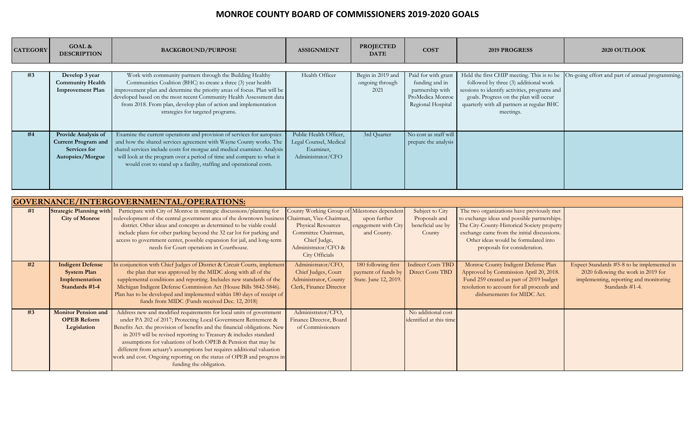| <b>CATEGORY</b> | <b>GOAL &amp;</b><br><b>DESCRIPTION</b>                                               | <b>BACKGROUND/PURPOSE</b>                                                                                                                                                                                                                                                                                                                                                             | <b>ASSIGNMENT</b>                                                                  | <b>PROJECTED</b><br><b>DATE</b>              | <b>COST</b>                                                                                        | <b>2019 PROGRESS</b>                                                                                                                                                                        | 2020 OUTLOOK                                                                               |
|-----------------|---------------------------------------------------------------------------------------|---------------------------------------------------------------------------------------------------------------------------------------------------------------------------------------------------------------------------------------------------------------------------------------------------------------------------------------------------------------------------------------|------------------------------------------------------------------------------------|----------------------------------------------|----------------------------------------------------------------------------------------------------|---------------------------------------------------------------------------------------------------------------------------------------------------------------------------------------------|--------------------------------------------------------------------------------------------|
| #3              | Develop 3 year<br><b>Community Health</b><br><b>Improvement Plan</b>                  | Work with community partners through the Building Healthy<br>Communities Coalition (BHC) to create a three (3) year health<br>improvement plan and determine the priority areas of focus. Plan will be<br>developed based on the most recent Community Health Assessment data<br>from 2018. From plan, develop plan of action and implementation<br>strategies for targeted programs. | Health Officer                                                                     | Begin in 2019 and<br>ongoing through<br>2021 | Paid for with grant<br>funding and in<br>partnership with<br>ProMedica Monroe<br>Regional Hospital | followed by three (3) additional work<br>sessions to identify activities, programs and<br>goals. Progress on the plan will occur<br>quarterly with all partners at regular BHC<br>meetings. | Held the first CHIP meeting. This is to be On-going effort and part of annual programming. |
| #4              | Provide Analysis of<br><b>Current Program and</b><br>Services for<br>Autopsies/Morgue | Examine the current operations and provision of services for autopsies<br>and how the shared services agreement with Wayne County works. The<br>shared services include costs for morgue and medical examiner. Analysis<br>will look at the program over a period of time and compare to what it<br>would cost to stand up a facility, staffing and operational costs.                | Public Health Officer,<br>Legal Counsel, Medical<br>Examiner,<br>Administrator/CFO | 3rd Quarter                                  | No cost as staff will<br>prepare the analysis                                                      |                                                                                                                                                                                             |                                                                                            |

|    | GOVERNANCE/INTERGOVERNMENTAL/OPERATIONS:                                          |                                                                                                                                                                                                                                                                                                                                                                                                                                                                                                                                          |                                                                                                                                                           |                                                                     |                                                                 |                                                                                                                                                                                                                                                                 |                                                                                                                                                |  |  |  |
|----|-----------------------------------------------------------------------------------|------------------------------------------------------------------------------------------------------------------------------------------------------------------------------------------------------------------------------------------------------------------------------------------------------------------------------------------------------------------------------------------------------------------------------------------------------------------------------------------------------------------------------------------|-----------------------------------------------------------------------------------------------------------------------------------------------------------|---------------------------------------------------------------------|-----------------------------------------------------------------|-----------------------------------------------------------------------------------------------------------------------------------------------------------------------------------------------------------------------------------------------------------------|------------------------------------------------------------------------------------------------------------------------------------------------|--|--|--|
| #1 | <b>Strategic Planning with</b><br><b>City of Monroe</b>                           | Participate with City of Monroe in strategic discussions/planning for<br>redevelopment of the central government area of the downtown business Chairman, Vice-Chairman,<br>district. Other ideas and concepts as determined to be viable could<br>include plans for other parking beyond the 32 car lot for parking and<br>access to government center, possible expansion for jail, and long-term<br>needs for Court operations in Courthouse.                                                                                          | County Working Group of Milestones dependent<br><b>Physical Resources</b><br>Committee Chairman,<br>Chief Judge,<br>Administrator/CFO &<br>City Officials | upon further<br>engagement with City<br>and County.                 | Subject to City<br>Proposals and<br>beneficial use by<br>County | The two organizations have previously met<br>to exchange ideas and possible partnerships.<br>The City-County-Historical Society property<br>exchange came from the initial discussions.<br>Other ideas would be formulated into<br>proposals for consideration. |                                                                                                                                                |  |  |  |
| #2 | <b>Indigent Defense</b><br><b>System Plan</b><br>Implementation<br>Standards #1-4 | In conjunction with Chief Judges of District & Circuit Courts, implement<br>the plan that was approved by the MIDC along with all of the<br>supplemental conditions and reporting. Includes new standards of the<br>Michigan Indigent Defense Commission Act (House Bills 5842-5846).<br>Plan has to be developed and implemented within 180 days of receipt of<br>funds from MIDC (Funds received Dec. 12, 2018)                                                                                                                        | Administrator/CFO,<br>Chief Judges, Court<br>Administrator, County<br>Clerk, Finance Director                                                             | 180 following first<br>payment of funds by<br>State. June 12, 2019. | <b>Indirect Costs TBD</b><br><b>Direct Costs TBD</b>            | Monroe County Indigent Defense Plan<br>Approved by Commission April 20, 2018.<br>Fund 259 created as part of 2019 budget<br>resolution to account for all proceeds and<br>disbursements for MIDC Act.                                                           | Expect Standards #5-8 to be implemented in<br>2020 following the work in 2019 for<br>implementing, reporting and monitoring<br>Standards #1-4. |  |  |  |
| #3 | <b>Monitor Pension and</b><br><b>OPEB Reform</b><br>Legislation                   | Address new and modified requirements for local units of government<br>under PA 202 of 2017; Protecting Local Government Retirement &<br>Benefits Act. the provision of benefits and the financial obligations. New<br>in 2019 will be revised reporting to Treasury & includes standard<br>assumptions for valuations of both OPEB & Pension that may be<br>different from actuary's assumptions but requires additional valuation<br>work and cost. Ongoing reporting on the status of OPEB and progress in<br>funding the obligation. | Administrator/CFO,<br>Finance Director, Board<br>of Commissioners                                                                                         |                                                                     | No additional cost<br>identified at this time                   |                                                                                                                                                                                                                                                                 |                                                                                                                                                |  |  |  |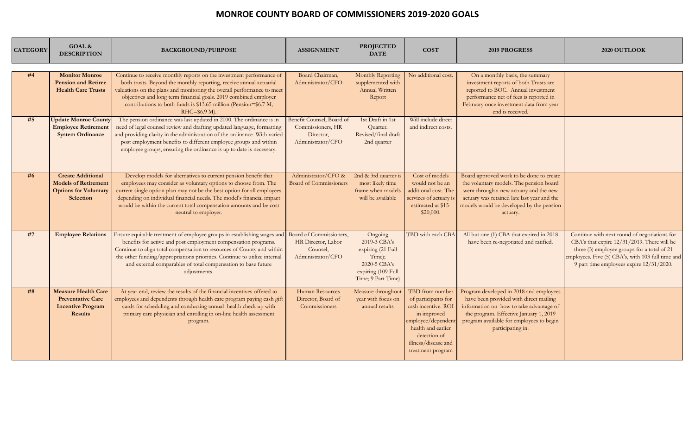| <b>CATEGORY</b> | GOAL &<br><b>DESCRIPTION</b>                                                                         | <b>BACKGROUND/PURPOSE</b>                                                                                                                                                                                                                                                                                                                                                                                | <b>ASSIGNMENT</b>                                                                | <b>PROJECTED</b><br><b>DATE</b>                                                                                    | <b>COST</b>                                                                                                                                                                          | <b>2019 PROGRESS</b>                                                                                                                                                                                                                    | 2020 OUTLOOK                                                                                                                                                                                                                                |
|-----------------|------------------------------------------------------------------------------------------------------|----------------------------------------------------------------------------------------------------------------------------------------------------------------------------------------------------------------------------------------------------------------------------------------------------------------------------------------------------------------------------------------------------------|----------------------------------------------------------------------------------|--------------------------------------------------------------------------------------------------------------------|--------------------------------------------------------------------------------------------------------------------------------------------------------------------------------------|-----------------------------------------------------------------------------------------------------------------------------------------------------------------------------------------------------------------------------------------|---------------------------------------------------------------------------------------------------------------------------------------------------------------------------------------------------------------------------------------------|
| #4              | <b>Monitor Monroe</b><br><b>Pension and Retiree</b><br><b>Health Care Trusts</b>                     | Continue to receive monthly reports on the investment performance of<br>both trusts. Beyond the monthly reporting, receive annual actuarial<br>valuations on the plans and monitoring the overall performance to meet<br>objectives and long term financial goals. 2019 combined employer<br>contributions to both funds is \$13.65 million (Pension=\$6.7 M;<br>$RHC = $6.9$ M).                        | Board Chairman,<br>Administrator/CFO                                             | Monthly Reporting<br>supplemented with<br>Annual Written<br>Report                                                 | No additional cost.                                                                                                                                                                  | On a monthly basis, the summary<br>investment reports of both Trusts are<br>reported to BOC. Annual investment<br>performance net of fees is reported in<br>February once investment data from year<br>end is received.                 |                                                                                                                                                                                                                                             |
| #5              | <b>Update Monroe County</b><br><b>Employee Retirement</b><br><b>System Ordinance</b>                 | The pension ordinance was last updated in 2000. The ordinance is in<br>need of legal counsel review and drafting updated language, formatting<br>and providing clarity in the administration of the ordinance. With varied<br>post employment benefits to different employee groups and within<br>employee groups, ensuring the ordinance is up to date is necessary.                                    | Benefit Counsel, Board of<br>Commissioners, HR<br>Director,<br>Administrator/CFO | 1st Draft in 1st<br>Quarter.<br>Revised/final draft<br>2nd quarter                                                 | Will include direct<br>and indirect costs.                                                                                                                                           |                                                                                                                                                                                                                                         |                                                                                                                                                                                                                                             |
| #6              | <b>Create Additional</b><br><b>Models of Retirement</b><br><b>Options for Voluntary</b><br>Selection | Develop models for alternatives to current pension benefit that<br>employees may consider as voluntary options to choose from. The<br>current single option plan may not be the best option for all employees<br>depending on individual financial needs. The model's financial impact<br>would be within the current total compensation amounts and be cost<br>neutral to employer.                     | Administrator/CFO &<br><b>Board of Commissioners</b>                             | 2nd & 3rd quarter is<br>most likely time<br>frame when models<br>will be available                                 | Cost of models<br>would not be an<br>additional cost. The<br>services of actuary i<br>estimated at \$15-<br>\$20,000.                                                                | Board approved work to be done to create<br>the voluntary models. The pension board<br>went through a new actuary and the new<br>actuary was retained late last year and the<br>models would be developed by the pension<br>actuary.    |                                                                                                                                                                                                                                             |
| #7              | <b>Employee Relations</b>                                                                            | Ensure equitable treatment of employee groups in establishing wages and Board of Commissioners<br>benefits for active and post employment compensation programs.<br>Continue to align total compensation to resources of County and within<br>the other funding/appropriations priorities. Continue to utilize internal<br>and external comparables of total compensation to base future<br>adjustments. | HR Director, Labor<br>Counsel,<br>Administrator/CFO                              | Ongoing<br>2019-3 CBA's<br>expiring (21 Full<br>Time);<br>2020-5 CBA's<br>expiring (109 Full<br>Time; 9 Part Time) | TBD with each CB.                                                                                                                                                                    | All but one (1) CBA that expired in 2018<br>have been re-negotiated and ratified.                                                                                                                                                       | Continue with next round of negotiations for<br>CBA's that expire 12/31/2019. There will be<br>three (3) employee groups for a total of 21<br>employees. Five (5) CBA's, with 103 full time and<br>9 part time employees expire 12/31/2020. |
| #8              | <b>Measure Health Care</b><br><b>Preventative Care</b><br><b>Incentive Program</b><br><b>Results</b> | At year-end, review the results of the financial incentives offered to<br>employees and dependents through health care program paying cash gift<br>cards for scheduling and conducting annual health check up with<br>primary care physician and enrolling in on-line health assessment<br>program.                                                                                                      | Human Resources<br>Director, Board of<br>Commissioners                           | Measure throughout<br>year with focus on<br>annual results                                                         | TBD from number<br>of participants for<br>cash incentive. ROI<br>in improved<br>employee/dependent<br>health and earlier<br>detection of<br>illness/disease and<br>treatment program | Program developed in 2018 and employees<br>have been provided with direct mailing<br>information on how to take advantage of<br>the program. Effective January 1, 2019<br>program available for employees to begin<br>participating in. |                                                                                                                                                                                                                                             |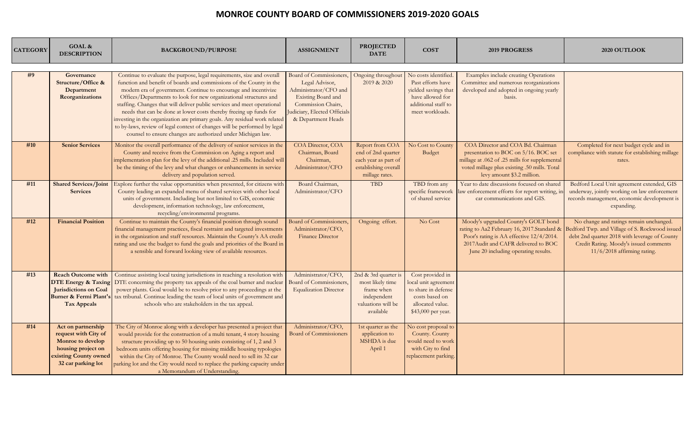| <b>CATEGORY</b> | GOAL &<br><b>DESCRIPTION</b>                                                                                                         | <b>BACKGROUND/PURPOSE</b>                                                                                                                                                                                                                                                                                                                                                                                                                                                                                                                                                                                                                                          | <b>ASSIGNMENT</b>                                                                                                                                                    | <b>PROJECTED</b><br><b>DATE</b>                                                                         | <b>COST</b>                                                                                                                    | <b>2019 PROGRESS</b>                                                                                                                                                                                          | 2020 OUTLOOK                                                                                                                                                                                                        |
|-----------------|--------------------------------------------------------------------------------------------------------------------------------------|--------------------------------------------------------------------------------------------------------------------------------------------------------------------------------------------------------------------------------------------------------------------------------------------------------------------------------------------------------------------------------------------------------------------------------------------------------------------------------------------------------------------------------------------------------------------------------------------------------------------------------------------------------------------|----------------------------------------------------------------------------------------------------------------------------------------------------------------------|---------------------------------------------------------------------------------------------------------|--------------------------------------------------------------------------------------------------------------------------------|---------------------------------------------------------------------------------------------------------------------------------------------------------------------------------------------------------------|---------------------------------------------------------------------------------------------------------------------------------------------------------------------------------------------------------------------|
| #9              | Governance<br>Structure/Office &<br>Department<br>Reorganizations                                                                    | Continue to evaluate the purpose, legal requirements, size and overall<br>function and benefit of boards and commissions of the County in the<br>modern era of government. Continue to encourage and incentivize<br>Offices/Departments to look for new organizational structures and<br>staffing. Changes that will deliver public services and meet operational<br>needs that can be done at lower costs thereby freeing up funds for<br>investing in the organization are primary goals. Any residual work related<br>to by-laws, review of legal context of changes will be performed by legal<br>counsel to ensure changes are authorized under Michigan law. | Board of Commissioners,<br>Legal Advisor,<br>Administrator/CFO and<br>Existing Board and<br>Commission Chairs,<br>Judiciary, Elected Officials<br>& Department Heads | Ongoing throughout<br>2019 & 2020                                                                       | No costs identified<br>Past efforts have<br>yielded savings that<br>have allowed for<br>additional staff to<br>meet workloads. | Examples include creating Operations<br>Committee and numerous reorganizations<br>developed and adopted in ongoing yearly<br>basis.                                                                           |                                                                                                                                                                                                                     |
| #10             | <b>Senior Services</b>                                                                                                               | Monitor the overall performance of the delivery of senior services in the<br>County and receive from the Commission on Aging a report and<br>implementation plan for the levy of the additional .25 mills. Included will<br>be the timing of the levy and what changes or enhancements in service<br>delivery and population served.                                                                                                                                                                                                                                                                                                                               | COA Director, COA<br>Chairman, Board<br>Chairman,<br>Administrator/CFO                                                                                               | Report from COA<br>end of 2nd quarter<br>each year as part of<br>establishing overall<br>millage rates. | No Cost to County<br>Budget                                                                                                    | COA Director and COA Bd. Chairman<br>presentation to BOC on 5/16. BOC set<br>millage at .062 of .25 mills for supplemental<br>voted millage plus existing .50 mills. Total<br>levy amount \$3.2 million.      | Completed for next budget cycle and in<br>compliance with statute for establishing millage<br>rates.                                                                                                                |
| #11             | <b>Shared Services/Joint</b><br><b>Services</b>                                                                                      | Explore further the value opportunities when presented, for citizens with<br>County leading an expanded menu of shared services with other local<br>units of government. Including but not limited to GIS, economic<br>development, information technology, law enforcement,<br>recycling/environmental programs.                                                                                                                                                                                                                                                                                                                                                  | Board Chairman,<br>Administrator/CFO                                                                                                                                 | <b>TBD</b>                                                                                              | TBD from any<br>specific framework<br>of shared service                                                                        | Year to date discussions focused on shared<br>law enforcement efforts for report writing, in<br>car communications and GIS.                                                                                   | Bedford Local Unit agreement extended, GIS<br>underway, jointly working on law enforcement<br>records management, economic development is<br>expanding.                                                             |
| #12             | <b>Financial Position</b>                                                                                                            | Continue to maintain the County's financial position through sound<br>financial management practices, fiscal restraint and targeted investments<br>in the organization and staff resources. Maintain the County's AA credit<br>rating and use the budget to fund the goals and priorities of the Board in<br>a sensible and forward looking view of available resources.                                                                                                                                                                                                                                                                                           | <b>Board of Commissioners,</b><br>Administrator/CFO,<br><b>Finance Director</b>                                                                                      | Ongoing effort.                                                                                         | No Cost                                                                                                                        | Moody's upgraded County's GOLT bond<br>rating to Aa2 February 16, 2017.Standard &<br>Poor's rating is AA effective 12/4/2014.<br>2017 Audit and CAFR delivered to BOC<br>June 20 including operating results. | No change and ratings remain unchanged.<br>Bedford Twp. and Village of S. Rockwood issued<br>debt 2nd quarter 2018 with leverage of County<br>Credit Rating. Moody's issued comments<br>11/6/2018 affirming rating. |
| #13             | <b>Reach Outcome with</b><br><b>DTE Energy &amp; Taxing</b><br>Jurisdictions on Coal<br>Burner & Fermi Plant's<br><b>Tax Appeals</b> | Continue assisting local taxing jurisdictions in reaching a resolution with<br>DTE concerning the property tax appeals of the coal burner and nuclear<br>power plants. Goal would be to resolve prior to any proceedings at the<br>tax tribunal. Continue leading the team of local units of government and<br>schools who are stakeholders in the tax appeal.                                                                                                                                                                                                                                                                                                     | Administrator/CFO,<br>Board of Commissioners,<br><b>Equalization Director</b>                                                                                        | 2nd & 3rd quarter i<br>most likely time<br>frame when<br>independent<br>valuations will be<br>available | Cost provided in<br>ocal unit agreement<br>to share in defense<br>costs based on<br>allocated value.<br>\$43,000 per year.     |                                                                                                                                                                                                               |                                                                                                                                                                                                                     |
| #14             | Act on partnership<br>request with City of<br>Monroe to develop<br>housing project on<br>existing County owned<br>32 car parking lot | The City of Monroe along with a developer has presented a project that<br>would provide for the construction of a multi tenant, 4 story housing<br>structure providing up to 50 housing units consisting of 1, 2 and 3<br>bedroom units offering housing for missing middle housing typologies<br>within the City of Monroe. The County would need to sell its 32 car<br>parking lot and the City would need to replace the parking capacity under<br>a Memorandum of Understanding.                                                                                                                                                                               | Administrator/CFO,<br><b>Board of Commissioners</b>                                                                                                                  | 1st quarter as the<br>application to<br>MSHDA is due<br>April 1                                         | No cost proposal to<br>County. County<br>would need to work<br>with City to find<br>replacement parking.                       |                                                                                                                                                                                                               |                                                                                                                                                                                                                     |